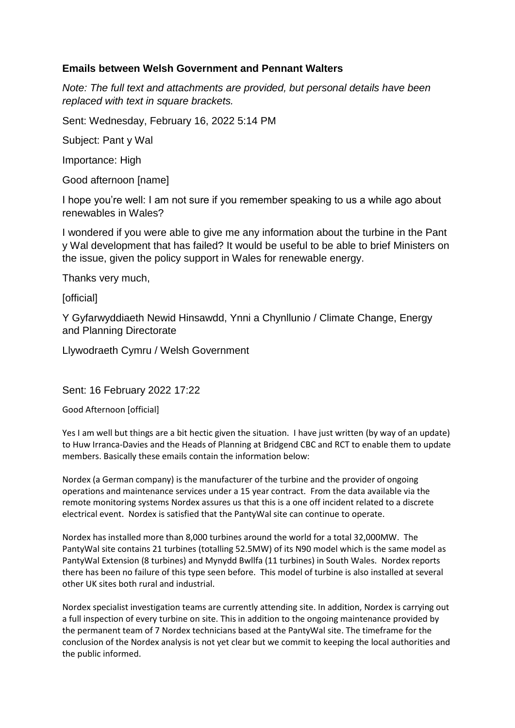# **Emails between Welsh Government and Pennant Walters**

*Note: The full text and attachments are provided, but personal details have been replaced with text in square brackets.* 

Sent: Wednesday, February 16, 2022 5:14 PM

Subject: Pant y Wal

Importance: High

Good afternoon [name]

I hope you're well: I am not sure if you remember speaking to us a while ago about renewables in Wales?

I wondered if you were able to give me any information about the turbine in the Pant y Wal development that has failed? It would be useful to be able to brief Ministers on the issue, given the policy support in Wales for renewable energy.

Thanks very much,

[official]

Y Gyfarwyddiaeth Newid Hinsawdd, Ynni a Chynllunio / Climate Change, Energy and Planning Directorate

Llywodraeth Cymru / Welsh Government

Sent: 16 February 2022 17:22

Good Afternoon [official]

Yes I am well but things are a bit hectic given the situation. I have just written (by way of an update) to Huw Irranca-Davies and the Heads of Planning at Bridgend CBC and RCT to enable them to update members. Basically these emails contain the information below:

Nordex (a German company) is the manufacturer of the turbine and the provider of ongoing operations and maintenance services under a 15 year contract. From the data available via the remote monitoring systems Nordex assures us that this is a one off incident related to a discrete electrical event. Nordex is satisfied that the PantyWal site can continue to operate.

Nordex has installed more than 8,000 turbines around the world for a total 32,000MW. The PantyWal site contains 21 turbines (totalling 52.5MW) of its N90 model which is the same model as PantyWal Extension (8 turbines) and Mynydd Bwllfa (11 turbines) in South Wales. Nordex reports there has been no failure of this type seen before. This model of turbine is also installed at several other UK sites both rural and industrial.

Nordex specialist investigation teams are currently attending site. In addition, Nordex is carrying out a full inspection of every turbine on site. This in addition to the ongoing maintenance provided by the permanent team of 7 Nordex technicians based at the PantyWal site. The timeframe for the conclusion of the Nordex analysis is not yet clear but we commit to keeping the local authorities and the public informed.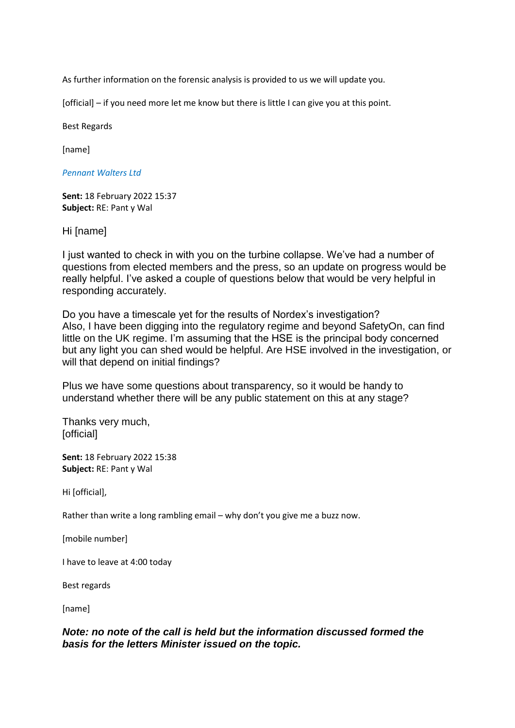As further information on the forensic analysis is provided to us we will update you.

[official] – if you need more let me know but there is little I can give you at this point.

Best Regards

[name]

*Pennant Walters Ltd*

**Sent:** 18 February 2022 15:37 **Subject:** RE: Pant y Wal

Hi [name]

I just wanted to check in with you on the turbine collapse. We've had a number of questions from elected members and the press, so an update on progress would be really helpful. I've asked a couple of questions below that would be very helpful in responding accurately.

Do you have a timescale yet for the results of Nordex's investigation? Also, I have been digging into the regulatory regime and beyond SafetyOn, can find little on the UK regime. I'm assuming that the HSE is the principal body concerned but any light you can shed would be helpful. Are HSE involved in the investigation, or will that depend on initial findings?

Plus we have some questions about transparency, so it would be handy to understand whether there will be any public statement on this at any stage?

Thanks very much, [official]

**Sent:** 18 February 2022 15:38 **Subject:** RE: Pant y Wal

Hi [official],

Rather than write a long rambling email – why don't you give me a buzz now.

[mobile number]

I have to leave at 4:00 today

Best regards

[name]

# *Note: no note of the call is held but the information discussed formed the basis for the letters Minister issued on the topic.*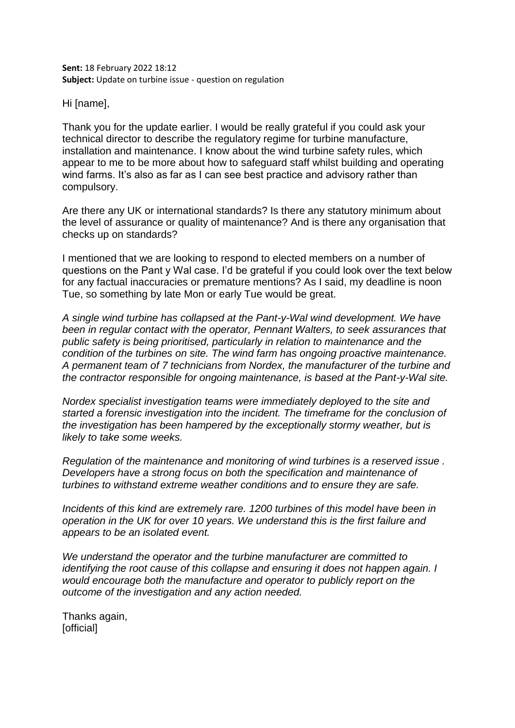**Sent:** 18 February 2022 18:12 **Subject:** Update on turbine issue - question on regulation

Hi [name],

Thank you for the update earlier. I would be really grateful if you could ask your technical director to describe the regulatory regime for turbine manufacture, installation and maintenance. I know about the wind turbine safety rules, which appear to me to be more about how to safeguard staff whilst building and operating wind farms. It's also as far as I can see best practice and advisory rather than compulsory.

Are there any UK or international standards? Is there any statutory minimum about the level of assurance or quality of maintenance? And is there any organisation that checks up on standards?

I mentioned that we are looking to respond to elected members on a number of questions on the Pant y Wal case. I'd be grateful if you could look over the text below for any factual inaccuracies or premature mentions? As I said, my deadline is noon Tue, so something by late Mon or early Tue would be great.

*A single wind turbine has collapsed at the Pant-y-Wal wind development. We have been in regular contact with the operator, Pennant Walters, to seek assurances that public safety is being prioritised, particularly in relation to maintenance and the condition of the turbines on site. The wind farm has ongoing proactive maintenance. A permanent team of 7 technicians from Nordex, the manufacturer of the turbine and the contractor responsible for ongoing maintenance, is based at the Pant-y-Wal site.* 

*Nordex specialist investigation teams were immediately deployed to the site and started a forensic investigation into the incident. The timeframe for the conclusion of the investigation has been hampered by the exceptionally stormy weather, but is likely to take some weeks.*

*Regulation of the maintenance and monitoring of wind turbines is a reserved issue . Developers have a strong focus on both the specification and maintenance of turbines to withstand extreme weather conditions and to ensure they are safe.* 

*Incidents of this kind are extremely rare. 1200 turbines of this model have been in operation in the UK for over 10 years. We understand this is the first failure and appears to be an isolated event.* 

*We understand the operator and the turbine manufacturer are committed to identifying the root cause of this collapse and ensuring it does not happen again. I would encourage both the manufacture and operator to publicly report on the outcome of the investigation and any action needed.*

Thanks again, [official]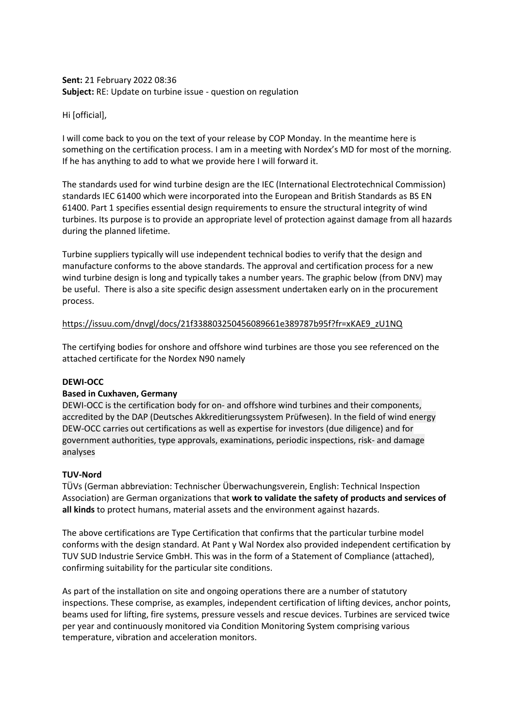# **Sent:** 21 February 2022 08:36 **Subject:** RE: Update on turbine issue - question on regulation

Hi [official],

I will come back to you on the text of your release by COP Monday. In the meantime here is something on the certification process. I am in a meeting with Nordex's MD for most of the morning. If he has anything to add to what we provide here I will forward it.

The standards used for wind turbine design are the IEC (International Electrotechnical Commission) standards IEC 61400 which were incorporated into the European and British Standards as BS EN 61400. Part 1 specifies essential design requirements to ensure the structural integrity of wind turbines. Its purpose is to provide an appropriate level of protection against damage from all hazards during the planned lifetime.

Turbine suppliers typically will use independent technical bodies to verify that the design and manufacture conforms to the above standards. The approval and certification process for a new wind turbine design is long and typically takes a number years. The graphic below (from DNV) may be useful. There is also a site specific design assessment undertaken early on in the procurement process.

#### [https://issuu.com/dnvgl/docs/21f338803250456089661e389787b95f?fr=xKAE9\\_zU1NQ](https://eur01.safelinks.protection.outlook.com/?url=https%3A%2F%2Fissuu.com%2Fdnvgl%2Fdocs%2F21f338803250456089661e389787b95f%3Ffr%3DxKAE9_zU1NQ&data=04%7C01%7Cjennifer.pride1%40gov.wales%7Cb7e27440f8ec4bcac69e08d9f51522a6%7Ca2cc36c592804ae78887d06dab89216b%7C0%7C0%7C637810293539204655%7CUnknown%7CTWFpbGZsb3d8eyJWIjoiMC4wLjAwMDAiLCJQIjoiV2luMzIiLCJBTiI6Ik1haWwiLCJXVCI6Mn0%3D%7C3000&sdata=Br920DH5L%2ByAvAyFDr%2BdGRps%2Fy73jlHrWI%2FDBNhycX8%3D&reserved=0)

The certifying bodies for onshore and offshore wind turbines are those you see referenced on the attached certificate for the Nordex N90 namely

# **DEWI-OCC**

# **Based in Cuxhaven, Germany**

DEWI-OCC is the certification body for on- and offshore wind turbines and their components, accredited by the DAP (Deutsches Akkreditierungssystem Prüfwesen). In the field of wind energy DEW-OCC carries out certifications as well as expertise for investors (due diligence) and for government authorities, type approvals, examinations, periodic inspections, risk- and damage analyses

#### **TUV-Nord**

TÜVs (German abbreviation: Technischer Überwachungsverein, English: Technical Inspection Association) are German organizations that **work to validate the safety of products and services of all kinds** to protect humans, material assets and the environment against hazards.

The above certifications are Type Certification that confirms that the particular turbine model conforms with the design standard. At Pant y Wal Nordex also provided independent certification by TUV SUD Industrie Service GmbH. This was in the form of a Statement of Compliance (attached), confirming suitability for the particular site conditions.

As part of the installation on site and ongoing operations there are a number of statutory inspections. These comprise, as examples, independent certification of lifting devices, anchor points, beams used for lifting, fire systems, pressure vessels and rescue devices. Turbines are serviced twice per year and continuously monitored via Condition Monitoring System comprising various temperature, vibration and acceleration monitors.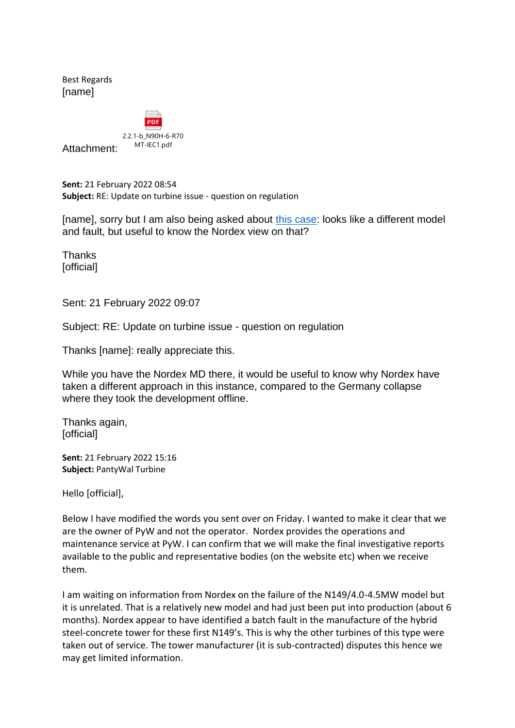Best Regards [name]



Attachment:

**Sent:** 21 February 2022 08:54 **Subject:** RE: Update on turbine issue - question on regulation

[name], sorry but I am also being asked about [this case:](https://www.wind-watch.org/news/2021/10/03/nordex-halts-19-wind-turbines-after-n149-collapses-in-germany/#:~:text=The%20turbine%20collapsed%20%E2%80%9Calmost%20completely%E2%80%9D%20%28pics%3A%20RAG%20Montan,the%209MW%20Haltern%20AV9%20wind%20farm%20near%20Essen.) looks like a different model and fault, but useful to know the Nordex view on that?

Thanks [official]

Sent: 21 February 2022 09:07

Subject: RE: Update on turbine issue - question on regulation

Thanks [name]: really appreciate this.

While you have the Nordex MD there, it would be useful to know why Nordex have taken a different approach in this instance, compared to the Germany collapse where they took the development offline.

Thanks again, [official]

**Sent:** 21 February 2022 15:16 **Subject:** PantyWal Turbine

Hello [official],

Below I have modified the words you sent over on Friday. I wanted to make it clear that we are the owner of PyW and not the operator. Nordex provides the operations and maintenance service at PyW. I can confirm that we will make the final investigative reports available to the public and representative bodies (on the website etc) when we receive them.

I am waiting on information from Nordex on the failure of the N149/4.0-4.5MW model but it is unrelated. That is a relatively new model and had just been put into production (about 6 months). Nordex appear to have identified a batch fault in the manufacture of the hybrid steel-concrete tower for these first N149's. This is why the other turbines of this type were taken out of service. The tower manufacturer (it is sub-contracted) disputes this hence we may get limited information.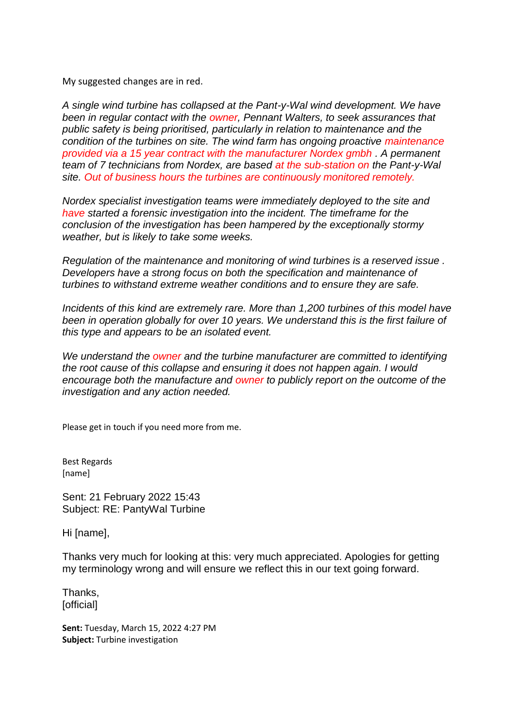My suggested changes are in red.

*A single wind turbine has collapsed at the Pant-y-Wal wind development. We have been in regular contact with the owner, Pennant Walters, to seek assurances that public safety is being prioritised, particularly in relation to maintenance and the condition of the turbines on site. The wind farm has ongoing proactive maintenance provided via a 15 year contract with the manufacturer Nordex gmbh . A permanent team of 7 technicians from Nordex, are based at the sub-station on the Pant-y-Wal site. Out of business hours the turbines are continuously monitored remotely.*

*Nordex specialist investigation teams were immediately deployed to the site and have started a forensic investigation into the incident. The timeframe for the conclusion of the investigation has been hampered by the exceptionally stormy weather, but is likely to take some weeks.*

*Regulation of the maintenance and monitoring of wind turbines is a reserved issue . Developers have a strong focus on both the specification and maintenance of turbines to withstand extreme weather conditions and to ensure they are safe.* 

*Incidents of this kind are extremely rare. More than 1,200 turbines of this model have been in operation globally for over 10 years. We understand this is the first failure of this type and appears to be an isolated event.* 

*We understand the owner and the turbine manufacturer are committed to identifying the root cause of this collapse and ensuring it does not happen again. I would encourage both the manufacture and owner to publicly report on the outcome of the investigation and any action needed.*

Please get in touch if you need more from me.

Best Regards [name]

Sent: 21 February 2022 15:43 Subject: RE: PantyWal Turbine

Hi [name],

Thanks very much for looking at this: very much appreciated. Apologies for getting my terminology wrong and will ensure we reflect this in our text going forward.

Thanks, [official]

**Sent:** Tuesday, March 15, 2022 4:27 PM **Subject:** Turbine investigation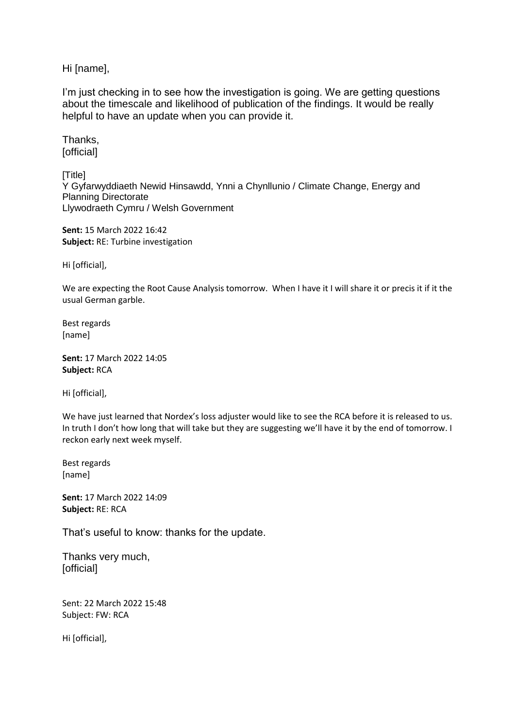Hi [name],

I'm just checking in to see how the investigation is going. We are getting questions about the timescale and likelihood of publication of the findings. It would be really helpful to have an update when you can provide it.

Thanks, [official]

[Title] Y Gyfarwyddiaeth Newid Hinsawdd, Ynni a Chynllunio / Climate Change, Energy and Planning Directorate Llywodraeth Cymru / Welsh Government

**Sent:** 15 March 2022 16:42 **Subject:** RE: Turbine investigation

Hi [official],

We are expecting the Root Cause Analysis tomorrow. When I have it I will share it or precis it if it the usual German garble.

Best regards [name]

**Sent:** 17 March 2022 14:05 **Subject:** RCA

Hi [official],

We have just learned that Nordex's loss adjuster would like to see the RCA before it is released to us. In truth I don't how long that will take but they are suggesting we'll have it by the end of tomorrow. I reckon early next week myself.

Best regards [name]

**Sent:** 17 March 2022 14:09 **Subject:** RE: RCA

That's useful to know: thanks for the update.

Thanks very much, [official]

Sent: 22 March 2022 15:48 Subject: FW: RCA

Hi [official],